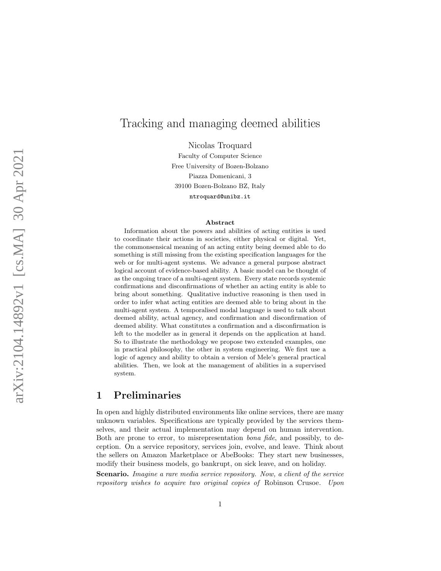# Tracking and managing deemed abilities

Nicolas Troquard

Faculty of Computer Science Free University of Bozen-Bolzano Piazza Domenicani, 3 39100 Bozen-Bolzano BZ, Italy ntroquard@unibz.it

#### Abstract

Information about the powers and abilities of acting entities is used to coordinate their actions in societies, either physical or digital. Yet, the commonsensical meaning of an acting entity being deemed able to do something is still missing from the existing specification languages for the web or for multi-agent systems. We advance a general purpose abstract logical account of evidence-based ability. A basic model can be thought of as the ongoing trace of a multi-agent system. Every state records systemic confirmations and disconfirmations of whether an acting entity is able to bring about something. Qualitative inductive reasoning is then used in order to infer what acting entities are deemed able to bring about in the multi-agent system. A temporalised modal language is used to talk about deemed ability, actual agency, and confirmation and disconfirmation of deemed ability. What constitutes a confirmation and a disconfirmation is left to the modeller as in general it depends on the application at hand. So to illustrate the methodology we propose two extended examples, one in practical philosophy, the other in system engineering. We first use a logic of agency and ability to obtain a version of Mele's general practical abilities. Then, we look at the management of abilities in a supervised system.

# <span id="page-0-0"></span>1 Preliminaries

In open and highly distributed environments like online services, there are many unknown variables. Specifications are typically provided by the services themselves, and their actual implementation may depend on human intervention. Both are prone to error, to misrepresentation bona fide, and possibly, to deception. On a service repository, services join, evolve, and leave. Think about the sellers on Amazon Marketplace or AbeBooks: They start new businesses, modify their business models, go bankrupt, on sick leave, and on holiday.

Scenario. Imagine a rare media service repository. Now, a client of the service repository wishes to acquire two original copies of Robinson Crusoe. Upon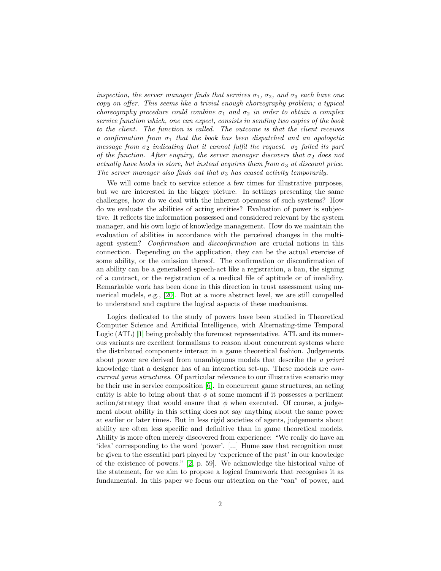inspection, the server manager finds that services  $\sigma_1$ ,  $\sigma_2$ , and  $\sigma_3$  each have one copy on offer. This seems like a trivial enough choreography problem; a typical choreography procedure could combine  $\sigma_1$  and  $\sigma_2$  in order to obtain a complex service function which, one can expect, consists in sending two copies of the book to the client. The function is called. The outcome is that the client receives a confirmation from  $\sigma_1$  that the book has been dispatched and an apologetic message from  $\sigma_2$  indicating that it cannot fulfil the request.  $\sigma_2$  failed its part of the function. After enquiry, the server manager discovers that  $\sigma_2$  does not actually have books in store, but instead acquires them from  $\sigma_3$  at discount price. The server manager also finds out that  $\sigma_3$  has ceased activity temporarily.

We will come back to service science a few times for illustrative purposes, but we are interested in the bigger picture. In settings presenting the same challenges, how do we deal with the inherent openness of such systems? How do we evaluate the abilities of acting entities? Evaluation of power is subjective. It reflects the information possessed and considered relevant by the system manager, and his own logic of knowledge management. How do we maintain the evaluation of abilities in accordance with the perceived changes in the multiagent system? Confirmation and disconfirmation are crucial notions in this connection. Depending on the application, they can be the actual exercise of some ability, or the omission thereof. The confirmation or disconfirmation of an ability can be a generalised speech-act like a registration, a ban, the signing of a contract, or the registration of a medical file of aptitude or of invalidity. Remarkable work has been done in this direction in trust assessment using numerical models, e.g., [\[20\]](#page-19-0). But at a more abstract level, we are still compelled to understand and capture the logical aspects of these mechanisms.

Logics dedicated to the study of powers have been studied in Theoretical Computer Science and Artificial Intelligence, with Alternating-time Temporal Logic (ATL) [\[1\]](#page-18-0) being probably the foremost representative. ATL and its numerous variants are excellent formalisms to reason about concurrent systems where the distributed components interact in a game theoretical fashion. Judgements about power are derived from unambiguous models that describe the a priori knowledge that a designer has of an interaction set-up. These models are concurrent game structures. Of particular relevance to our illustrative scenario may be their use in service composition [\[6\]](#page-18-1). In concurrent game structures, an acting entity is able to bring about that  $\phi$  at some moment if it possesses a pertinent action/strategy that would ensure that  $\phi$  when executed. Of course, a judgement about ability in this setting does not say anything about the same power at earlier or later times. But in less rigid societies of agents, judgements about ability are often less specific and definitive than in game theoretical models. Ability is more often merely discovered from experience: "We really do have an 'idea' corresponding to the word 'power'. [...] Hume saw that recognition must be given to the essential part played by 'experience of the past' in our knowledge of the existence of powers." [\[2,](#page-18-2) p. 59]. We acknowledge the historical value of the statement, for we aim to propose a logical framework that recognises it as fundamental. In this paper we focus our attention on the "can" of power, and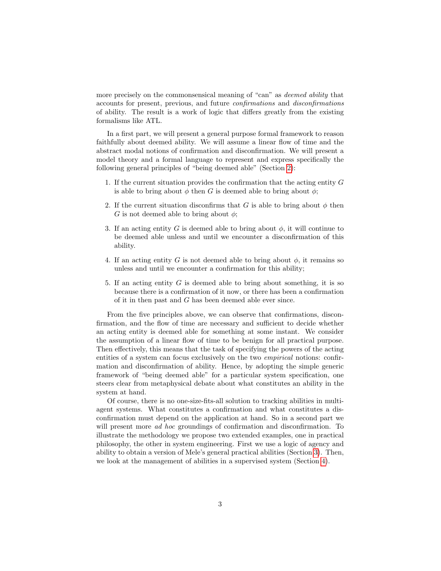more precisely on the commonsensical meaning of "can" as *deemed ability* that accounts for present, previous, and future confirmations and disconfirmations of ability. The result is a work of logic that differs greatly from the existing formalisms like ATL.

In a first part, we will present a general purpose formal framework to reason faithfully about deemed ability. We will assume a linear flow of time and the abstract modal notions of confirmation and disconfirmation. We will present a model theory and a formal language to represent and express specifically the following general principles of "being deemed able" (Section [2\)](#page-3-0):

- 1. If the current situation provides the confirmation that the acting entity G is able to bring about  $\phi$  then G is deemed able to bring about  $\phi$ ;
- 2. If the current situation disconfirms that G is able to bring about  $\phi$  then G is not deemed able to bring about  $\phi$ ;
- 3. If an acting entity G is deemed able to bring about  $\phi$ , it will continue to be deemed able unless and until we encounter a disconfirmation of this ability.
- 4. If an acting entity G is not deemed able to bring about  $\phi$ , it remains so unless and until we encounter a confirmation for this ability;
- 5. If an acting entity G is deemed able to bring about something, it is so because there is a confirmation of it now, or there has been a confirmation of it in then past and G has been deemed able ever since.

From the five principles above, we can observe that confirmations, disconfirmation, and the flow of time are necessary and sufficient to decide whether an acting entity is deemed able for something at some instant. We consider the assumption of a linear flow of time to be benign for all practical purpose. Then effectively, this means that the task of specifying the powers of the acting entities of a system can focus exclusively on the two empirical notions: confirmation and disconfirmation of ability. Hence, by adopting the simple generic framework of "being deemed able" for a particular system specification, one steers clear from metaphysical debate about what constitutes an ability in the system at hand.

Of course, there is no one-size-fits-all solution to tracking abilities in multiagent systems. What constitutes a confirmation and what constitutes a disconfirmation must depend on the application at hand. So in a second part we will present more *ad hoc* groundings of confirmation and disconfirmation. To illustrate the methodology we propose two extended examples, one in practical philosophy, the other in system engineering. First we use a logic of agency and ability to obtain a version of Mele's general practical abilities (Section [3\)](#page-10-0). Then, we look at the management of abilities in a supervised system (Section [4\)](#page-14-0).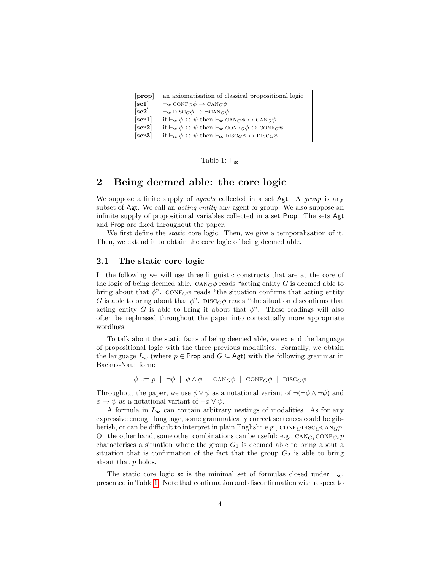<span id="page-3-1"></span>

| [prop]                              | an axiomatisation of classical propositional logic                                                                                    |
|-------------------------------------|---------------------------------------------------------------------------------------------------------------------------------------|
| [sc1]                               | $\vdash_{\mathsf{sc}} \mathsf{CONF}_G \phi \rightarrow \mathsf{CAN}_G \phi$                                                           |
| $\left[\mathrm{sc}2\right]$         | $\vdash_{\mathsf{sc}} \text{DISC}_G \phi \rightarrow \neg \text{CAN}_G \phi$                                                          |
| $\lceil \operatorname{scr1} \rceil$ | if $\vdash_{\mathsf{sc}} \phi \leftrightarrow \psi$ then $\vdash_{\mathsf{sc}} \text{CAN}_G \phi \leftrightarrow \text{CAN}_G \psi$   |
| $\lceil \sec 2 \rceil$              | if $\vdash_{\mathsf{sc}} \phi \leftrightarrow \psi$ then $\vdash_{\mathsf{sc}} \text{CONF}_G \phi \leftrightarrow \text{CONF}_G \psi$ |
| $\left[\mathrm{scr3}\right]$        | if $\vdash_{\mathsf{sc}} \phi \leftrightarrow \psi$ then $\vdash_{\mathsf{sc}} \text{DISC}_G \phi \leftrightarrow \text{DISC}_G \psi$ |

Table 1:  $\vdash_{\mathsf{sc}}$ 

# <span id="page-3-0"></span>2 Being deemed able: the core logic

We suppose a finite supply of *agents* collected in a set Agt. A *group* is any subset of Agt. We call an *acting entity* any agent or group. We also suppose an infinite supply of propositional variables collected in a set Prop. The sets Agt and Prop are fixed throughout the paper.

We first define the static core logic. Then, we give a temporalisation of it. Then, we extend it to obtain the core logic of being deemed able.

## 2.1 The static core logic

In the following we will use three linguistic constructs that are at the core of the logic of being deemed able.  $CAN_G\phi$  reads "acting entity G is deemed able to bring about that  $\phi$ ". CONF<sub>G</sub> $\phi$  reads "the situation confirms that acting entity G is able to bring about that  $\phi$ ". DISC<sub>G</sub> $\phi$  reads "the situation disconfirms that acting entity G is able to bring it about that  $\phi$ ". These readings will also often be rephrased throughout the paper into contextually more appropriate wordings.

To talk about the static facts of being deemed able, we extend the language of propositional logic with the three previous modalities. Formally, we obtain the language  $L_{\mathsf{sc}}$  (where  $p \in \mathsf{Prop}$  and  $G \subseteq \mathsf{Agt}$ ) with the following grammar in Backus-Naur form:

 $\phi ::= p \mid \neg \phi \mid \phi \land \phi \mid \text{CAN}_G\phi \mid \text{CONF}_G\phi \mid \text{DISC}_G\phi$ 

Throughout the paper, we use  $\phi \vee \psi$  as a notational variant of  $\neg(\neg \phi \wedge \neg \psi)$  and  $\phi \to \psi$  as a notational variant of  $\neg \phi \lor \psi$ .

A formula in  $L_{\rm sc}$  can contain arbitrary nestings of modalities. As for any expressive enough language, some grammatically correct sentences could be gibberish, or can be difficult to interpret in plain English: e.g.,  $CONF_GDISC_GCAN_Gp$ . On the other hand, some other combinations can be useful: e.g.,  $CAN_{G_1}CONF_{G_2} p$ characterises a situation where the group  $G_1$  is deemed able to bring about a situation that is confirmation of the fact that the group  $G_2$  is able to bring about that p holds.

The static core logic sc is the minimal set of formulas closed under  $\vdash_{\mathsf{sc}}$ , presented in Table [1.](#page-3-1) Note that confirmation and disconfirmation with respect to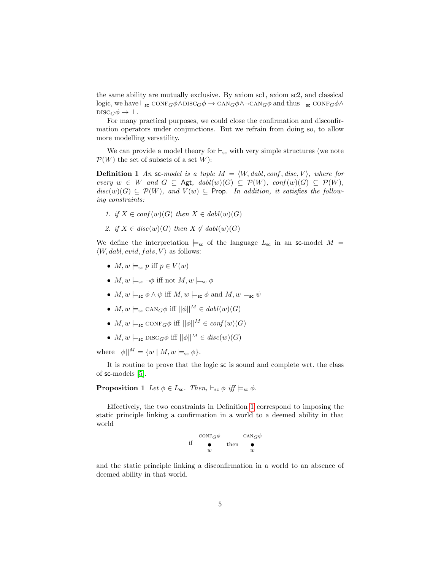the same ability are mutually exclusive. By axiom sc1, axiom sc2, and classical logic, we have  $\vdash_{\mathsf{sc}} \text{CONF}_G \phi \land \text{DISC}_G \phi \rightarrow \text{CAN}_G \phi \land \neg \text{CAN}_G \phi$  and thus  $\vdash_{\mathsf{sc}} \text{CONF}_G \phi \land$  $\text{DISC}_G \phi \to \bot.$ 

For many practical purposes, we could close the confirmation and disconfirmation operators under conjunctions. But we refrain from doing so, to allow more modelling versatility.

<span id="page-4-0"></span>We can provide a model theory for  $\vdash_{\mathsf{sc}}$  with very simple structures (we note  $\mathcal{P}(W)$  the set of subsets of a set W):

**Definition 1** An sc-model is a tuple  $M = \langle W, dabl, conf, disc, V \rangle$ , where for every  $w \in W$  and  $G \subseteq \mathsf{Agt}$ ,  $dabl(w)(G) \subseteq \mathcal{P}(W)$ ,  $conf(w)(G) \subseteq \mathcal{P}(W)$ ,  $disc(w)(G) \subseteq \mathcal{P}(W)$ , and  $V(w) \subseteq$  Prop. In addition, it satisfies the following constraints:

1. if  $X \in conf(w)(G)$  then  $X \in dabl(w)(G)$ 

2. if 
$$
X \in disc(w)(G)
$$
 then  $X \notin dabl(w)(G)$ 

We define the interpretation  $\models_{\mathsf{sc}}$  of the language  $L_{\mathsf{sc}}$  in an sc-model  $M =$  $\langle W, dabl, evid, fals, V \rangle$  as follows:

- $M, w \models_{\mathsf{sc}} p \text{ iff } p \in V(w)$
- $M, w \models_{\mathsf{sc}} \neg \phi$  iff not  $M, w \models_{\mathsf{sc}} \phi$
- $M, w \models_{\mathsf{sc}} \phi \land \psi$  iff  $M, w \models_{\mathsf{sc}} \phi$  and  $M, w \models_{\mathsf{sc}} \psi$
- $M, w \models_{\mathsf{sc}} \text{CAN}_G \phi \text{ iff } ||\phi||^M \in \mathit{dabl}(w)(G)$
- $M, w \models_{\mathsf{sc}} \text{CONF}_{G} \phi \text{ iff } ||\phi||^{M} \in \mathit{conf}(w)(G)$
- $M, w \models_{\text{sc}} \text{DISC}_G \phi \text{ iff } ||\phi||^M \in \text{disc}(w)(G)$

where  $||\phi||^M = \{w \mid M, w \models_{\mathsf{sc}} \phi\}.$ 

<span id="page-4-1"></span>It is routine to prove that the logic sc is sound and complete wrt. the class of sc-models [\[5\]](#page-18-3).

**Proposition 1** Let  $\phi \in L_{\text{sc}}$ . Then,  $\vdash_{\text{sc}} \phi$  iff  $\models_{\text{sc}} \phi$ .

Effectively, the two constraints in Definition [1](#page-4-0) correspond to imposing the static principle linking a confirmation in a world to a deemed ability in that world

$$
\begin{array}{ccc}\n&\text{CONF}_G\phi&\text{CAN}_G\phi\\
\text{if} &\bullet&\text{then}&\bullet\\
w&\text{ }\qquad w\end{array}
$$

and the static principle linking a disconfirmation in a world to an absence of deemed ability in that world.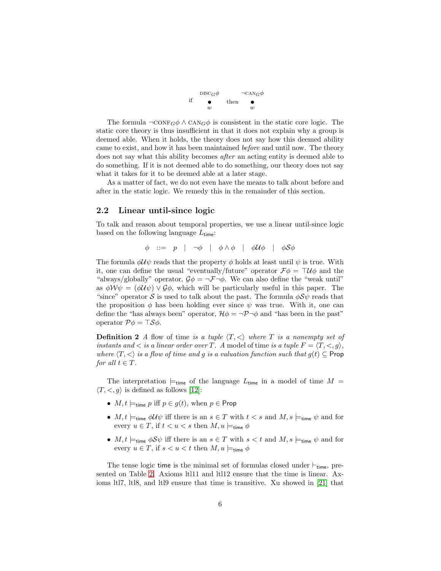

The formula  $\neg \text{CONF}_G \phi \wedge \text{CAN}_G \phi$  is consistent in the static core logic. The static core theory is thus insufficient in that it does not explain why a group is deemed able. When it holds, the theory does not say how this deemed ability came to exist, and how it has been maintained before and until now. The theory does not say what this ability becomes after an acting entity is deemed able to do something. If it is not deemed able to do something, our theory does not say what it takes for it to be deemed able at a later stage.

As a matter of fact, we do not even have the means to talk about before and after in the static logic. We remedy this in the remainder of this section.

## 2.2 Linear until-since logic

To talk and reason about temporal properties, we use a linear until-since logic based on the following language  $L_{time}$ :

 $\phi$  ::= p |  $\neg \phi$  |  $\phi \wedge \phi$  |  $\phi \mathcal{U} \phi$  |  $\phi \mathcal{S} \phi$ 

The formula  $\phi \mathcal{U} \psi$  reads that the property  $\phi$  holds at least until  $\psi$  is true. With it, one can define the usual "eventually/future" operator  $\mathcal{F}\phi = \mathcal{T} \mathcal{U} \phi$  and the "always/globally" operator,  $\mathcal{G}\phi = \neg \mathcal{F}\neg \phi$ . We can also define the "weak until" as  $\phi \mathcal{W} \psi = (\phi \mathcal{U} \psi) \vee \mathcal{G} \phi$ , which will be particularly useful in this paper. The "since" operator S is used to talk about the past. The formula  $\phi \mathcal{S} \psi$  reads that the proposition  $\phi$  has been holding ever since  $\psi$  was true. With it, one can define the "has always been" operator,  $\mathcal{H}\phi = \neg \mathcal{P} \neg \phi$  and "has been in the past" operator  $\mathcal{P}\phi = \top \mathcal{S}\phi$ .

**Definition 2** A flow of time is a tuple  $\langle T, \langle \rangle$  where T is a nonempty set of instants and  $\langle$  is a linear order over T. A model of time is a tuple  $F = \langle T, \langle , g \rangle, \rangle$ where  $\langle T, \langle \rangle$  is a flow of time and g is a valuation function such that  $g(t) \subseteq$  Prop for all  $t \in T$ .

The interpretation  $\models$ <sub>time</sub> of the language  $L$ <sub>time</sub> in a model of time  $M =$  $\langle T, \langle , g \rangle$  is defined as follows [\[12\]](#page-19-1):

- $M, t \models_{time} p \text{ iff } p \in g(t), \text{ when } p \in \text{Prop}$
- $M, t \models_{time} \phi \mathcal{U} \psi$  iff there is an  $s \in T$  with  $t < s$  and  $M, s \models_{time} \psi$  and for every  $u \in T$ , if  $t < u < s$  then  $M, u \models_{time} \phi$
- $M, t \models_{time} \phi \mathcal{S} \psi$  iff there is an  $s \in T$  with  $s < t$  and  $M, s \models_{time} \psi$  and for every  $u \in T$ , if  $s < u < t$  then  $M, u \models_{time} \phi$

The tense logic time is the minimal set of formulas closed under  $\vdash_{time}$ , presented on Table [2.](#page-6-0) Axioms ltl11 and ltl12 ensure that the time is linear. Axioms ltl7, ltl8, and ltl9 ensure that time is transitive. Xu showed in [\[21\]](#page-19-2) that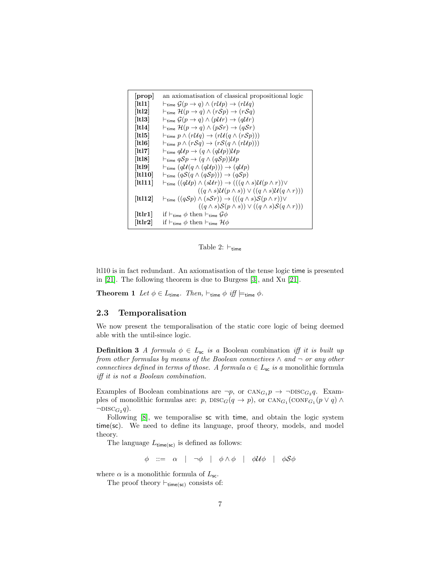<span id="page-6-0"></span>

| propl                       | an axiomatisation of classical propositional logic                                                         |
|-----------------------------|------------------------------------------------------------------------------------------------------------|
| [It11]                      | $\vdash_{\text{time}} \mathcal{G}(p \to q) \land (r \mathcal{U}p) \to (r \mathcal{U}q)$                    |
| [It12]                      | $\vdash_{\text{time}} \mathcal{H}(p \to q) \land (r\mathcal{S}p) \to (r\mathcal{S}q)$                      |
| [It]                        | $\vdash_{\text{time}} \mathcal{G}(p \to q) \land (p \mathcal{U} r) \to (q \mathcal{U} r)$                  |
| [lt14]                      | $\vdash_{\text{time}} \mathcal{H}(p \to q) \land (p\mathcal{S}r) \to (q\mathcal{S}r)$                      |
| [It]                        | $\vdash_{\text{time}} p \wedge (r \mathcal{U} q) \rightarrow (r \mathcal{U} (q \wedge (r \mathcal{S} p)))$ |
| [It]                        | $\vdash_{\text{time}} p \wedge (r\mathcal{S}q) \rightarrow (r\mathcal{S}(q \wedge (r\mathcal{U}p)))$       |
| [lt17]                      | $\vdash_{\text{time}} qUp \rightarrow (q \wedge (qUp))Up$                                                  |
| [It18]                      | $\vdash_{\text{time}} q\mathcal{S}p \rightarrow (q \wedge (q\mathcal{S}p))\mathcal{U}p$                    |
| [It]                        | $\vdash_{\text{time}} (q\mathcal{U}(q \wedge (q\mathcal{U}p))) \rightarrow (q\mathcal{U}p)$                |
| [It110]                     | $\vdash_{\text{time}} (qS(q \land (qSp))) \rightarrow (qSp)$                                               |
| [It11]                      | $\vdash_{\text{time}} ((qUp) \wedge (sUr)) \rightarrow (((q \wedge s)U(p \wedge r)) \vee$                  |
|                             | $((q \wedge s) \mathcal{U}(p \wedge s)) \vee ((q \wedge s) \mathcal{U}(q \wedge r)))$                      |
| [It]                        | $\vdash_{\text{time}} ((q\mathcal{S}p) \land (s\mathcal{S}r)) \rightarrow (((q \land s)S(p \land r)) \lor$ |
|                             | $((q \wedge s)S(p \wedge s)) \vee ((q \wedge s)S(q \wedge r)))$                                            |
| $[$ lt $\bf{l}$ r $\bf{1}]$ | if $\vdash_{time} \phi$ then $\vdash_{time} \mathcal{G}\phi$                                               |
| $ {\rm ltlr2} $             | if $\vdash_{time} \phi$ then $\vdash_{time} \mathcal{H}\phi$                                               |

<span id="page-6-1"></span>Table 2:  $\vdash_{\mathsf{time}}$ 

ltl10 is in fact redundant. An axiomatisation of the tense logic time is presented in [\[21\]](#page-19-2). The following theorem is due to Burgess [\[3\]](#page-18-4), and Xu [\[21\]](#page-19-2).

**Theorem 1** Let  $\phi \in L_{time}$ . Then,  $\vdash_{time} \phi$  iff  $\models_{time} \phi$ .

## 2.3 Temporalisation

We now present the temporalisation of the static core logic of being deemed able with the until-since logic.

**Definition 3** A formula  $\phi \in L_{\text{sc}}$  is a Boolean combination iff it is built up from other formulas by means of the Boolean connectives  $\wedge$  and  $\neg$  or any other connectives defined in terms of those. A formula  $\alpha \in L_{\text{sc}}$  is a monolithic formula iff it is not a Boolean combination.

Examples of Boolean combinations are  $\neg p$ , or  $CAN_{G_1}p \to \neg DISC_{G_2}q$ . Examples of monolithic formulas are: p,  $\text{DISC}_G(q \to p)$ , or  $\text{CAN}_{G_1}(\text{CONF}_{G_1}(p \lor q) \land$  $\neg \text{DISC}_{G_2}q$ ).

Following [\[8\]](#page-18-5), we temporalise sc with time, and obtain the logic system time(sc). We need to define its language, proof theory, models, and model theory.

The language  $L_{time(sc)}$  is defined as follows:

 $\phi$  ::=  $\alpha$  |  $\neg \phi$  |  $\phi \wedge \phi$  |  $\phi \mathcal{U} \phi$  |  $\phi \mathcal{S} \phi$ 

where  $\alpha$  is a monolithic formula of  $L_{\text{sc}}$ .

The proof theory  $\vdash_{time(sc)}$  consists of: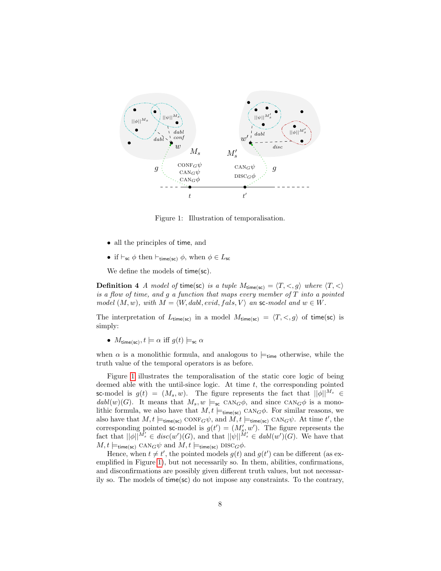<span id="page-7-0"></span>

Figure 1: Illustration of temporalisation.

- all the principles of time, and
- if  $\vdash_{\mathsf{sc}} \phi$  then  $\vdash_{\mathsf{time}(\mathsf{sc})} \phi$ , when  $\phi \in L_{\mathsf{sc}}$

We define the models of time(sc).

**Definition 4** A model of time(sc) is a tuple  $M_{time}{(sc)} = \langle T, \langle , g \rangle$  where  $\langle T, \langle \rangle$ is a flow of time, and  $g$  a function that maps every member of  $T$  into a pointed model  $(M, w)$ , with  $M = \langle W, dabl, evid, fals, V \rangle$  an sc-model and  $w \in W$ .

The interpretation of  $L_{time(sc)}$  in a model  $M_{time(sc)} = \langle T, \langle , g \rangle$  of time(sc) is simply:

•  $M_{time(se)}$ ,  $t \models \alpha \text{ iff } g(t) \models_{\text{sc}} \alpha$ 

when  $\alpha$  is a monolithic formula, and analogous to  $\models$ <sub>time</sub> otherwise, while the truth value of the temporal operators is as before.

Figure [1](#page-7-0) illustrates the temporalisation of the static core logic of being deemed able with the until-since logic. At time  $t$ , the corresponding pointed sc-model is  $g(t) = (M_s, w)$ . The figure represents the fact that  $||\phi||^{M_s} \in$  $dabl(w)(G)$ . It means that  $M_s, w \models_{\mathsf{sc}} \text{CAN}_G\phi$ , and since  $\text{CAN}_G\phi$  is a monolithic formula, we also have that  $M, t \models_{time(\mathsf{sc})} \text{CAN}_G \phi$ . For similar reasons, we also have that  $M, t \models_{\textsf{time}(\textsf{sc})} \text{CONF}_G \psi$ , and  $\tilde{M}, t \models_{\textsf{time}(\textsf{sc})} \text{CAN}_G \psi$ . At time t', the corresponding pointed sc-model is  $g(t') = (M'_{s}, w')$ . The figure represents the fact that  $||\phi||^{M'_{s}} \in disc(w')(G)$ , and that  $||\psi||^{M'_{s}} \in dabl(w')(G)$ . We have that  $M, t \models_{time(\mathsf{sc})} \text{CAN}_G \psi \text{ and } M, t \models_{time(\mathsf{sc})} \text{DISC}_G \phi.$ 

Hence, when  $t \neq t'$ , the pointed models  $g(t)$  and  $g(t')$  can be different (as exemplified in Figure [1\)](#page-7-0), but not necessarily so. In them, abilities, confirmations, and disconfirmations are possibly given different truth values, but not necessarily so. The models of time(sc) do not impose any constraints. To the contrary,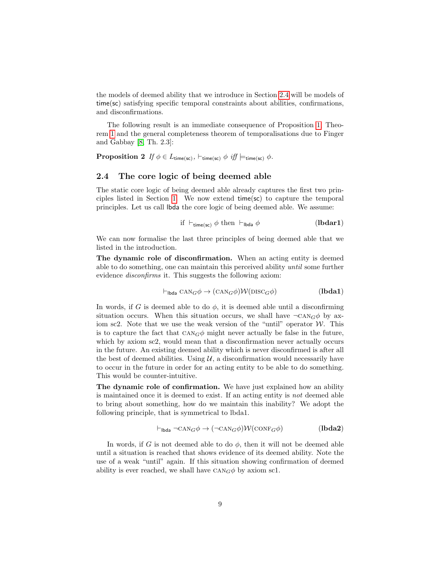the models of deemed ability that we introduce in Section [2.4](#page-8-0) will be models of time(sc) satisfying specific temporal constraints about abilities, confirmations, and disconfirmations.

The following result is an immediate consequence of Proposition [1,](#page-4-1) Theorem [1](#page-6-1) and the general completeness theorem of temporalisations due to Finger and Gabbay [\[8,](#page-18-5) Th. 2.3]:

<span id="page-8-1"></span>**Proposition 2** If  $\phi \in L_{time(\text{sc})}$ ,  $\vdash_{time(\text{sc})} \phi$  iff  $\models_{time(\text{sc})} \phi$ .

# <span id="page-8-0"></span>2.4 The core logic of being deemed able

The static core logic of being deemed able already captures the first two principles listed in Section [1.](#page-0-0) We now extend time(sc) to capture the temporal principles. Let us call lbda the core logic of being deemed able. We assume:

if 
$$
\vdash_{\text{time}(\text{sc})} \phi
$$
 then  $\vdash_{\text{lbda}} \phi$  (lbdar1)

We can now formalise the last three principles of being deemed able that we listed in the introduction.

The dynamic role of disconfirmation. When an acting entity is deemed able to do something, one can maintain this perceived ability until some further evidence *disconfirms* it. This suggests the following axiom:

$$
\vdash_{\mathsf{Ibda}} \mathsf{CAN}_G \phi \to (\mathsf{CAN}_G \phi) \mathcal{W}(\mathsf{DISC}_G \phi) \tag{Ibda1}
$$

In words, if G is deemed able to do  $\phi$ , it is deemed able until a disconfirming situation occurs. When this situation occurs, we shall have  $\neg \text{CAN}_G \phi$  by axiom sc2. Note that we use the weak version of the "until" operator  $W$ . This is to capture the fact that  $CAN_G\phi$  might never actually be false in the future, which by axiom sc2, would mean that a disconfirmation never actually occurs in the future. An existing deemed ability which is never disconfirmed is after all the best of deemed abilities. Using  $\mathcal{U}$ , a disconfirmation would necessarily have to occur in the future in order for an acting entity to be able to do something. This would be counter-intuitive.

The dynamic role of confirmation. We have just explained how an ability is maintained once it is deemed to exist. If an acting entity is not deemed able to bring about something, how do we maintain this inability? We adopt the following principle, that is symmetrical to lbda1.

$$
\vdash_{\mathsf{Ibda}} \neg \mathsf{CAN}_G \phi \rightarrow (\neg \mathsf{CAN}_G \phi) \mathcal{W}(\mathsf{CONF}_G \phi) \tag{Ibda2}
$$

In words, if G is not deemed able to do  $\phi$ , then it will not be deemed able until a situation is reached that shows evidence of its deemed ability. Note the use of a weak "until" again. If this situation showing confirmation of deemed ability is ever reached, we shall have  $CAN_G\phi$  by axiom sc1.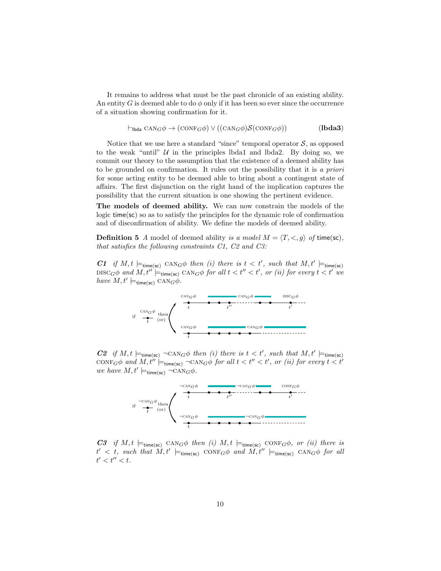It remains to address what must be the past chronicle of an existing ability. An entity G is deemed able to do  $\phi$  only if it has been so ever since the occurrence of a situation showing confirmation for it.

$$
\vdash_{\mathsf{Ibda}} \mathsf{CAN}_G \phi \to (\mathsf{CONF}_G \phi) \vee ((\mathsf{CAN}_G \phi) \mathcal{S}(\mathsf{CONF}_G \phi)) \tag{Ibda3}
$$

Notice that we use here a standard "since" temporal operator  $S$ , as opposed to the weak "until"  $U$  in the principles lbda1 and lbda2. By doing so, we commit our theory to the assumption that the existence of a deemed ability has to be grounded on confirmation. It rules out the possibility that it is a priori for some acting entity to be deemed able to bring about a contingent state of affairs. The first disjunction on the right hand of the implication captures the possibility that the current situation is one showing the pertinent evidence.

The models of deemed ability. We can now constrain the models of the logic time(sc) so as to satisfy the principles for the dynamic role of confirmation and of disconfirmation of ability. We define the models of deemed ability.

**Definition 5** A model of deemed ability is a model  $M = \langle T, \langle , g \rangle$  of time(sc), that satisfies the following constraints C1, C2 and C3:

C1 if  $M, t \models_{time(\text{sc})} \text{CAN}_G\phi$  then (i) there is  $t < t'$ , such that  $M, t' \models_{time(\text{sc})}$  $\text{DISC}_G\phi$  and  $M, t'' \models_{\text{time}(\text{sc})} \text{CAN}_G\phi$  for all  $t < t'' < t'$ , or (ii) for every  $t < t'$  we have  $M, t' \models_{time(se)} \text{CAN}_G\phi$ .

<span id="page-9-0"></span>

C2 if  $M, t \models_{time(\mathsf{sc})} \neg \text{CAN}_G \phi$  then (i) there is  $t < t'$ , such that  $M, t' \models_{time(\mathsf{sc})}$  $\text{CONF}_{G} \phi$  and  $M, t'' \models_{\text{time}(sc)} \neg \text{CAN}_G \phi$  for all  $t < t'' < t'$ , or (ii) for every  $t < t'$ we have  $M, t' \models_{time(\mathsf{sc})} \neg \text{CAN}_G\phi$ .



C3 if  $M, t \models_{time(\mathsf{sc})} \text{CAN}_G\phi$  then (i)  $M, t \models_{time(\mathsf{sc})} \text{CONF}_G\phi$ , or (ii) there is  $t' < t$ , such that  $\overline{M}, t' \models_{time(se)} \text{CONF}_G \phi$  and  $\overline{M}, t'' \models_{time(se)} \text{CAN}_G \phi$  for all  $t' < t'' < t.$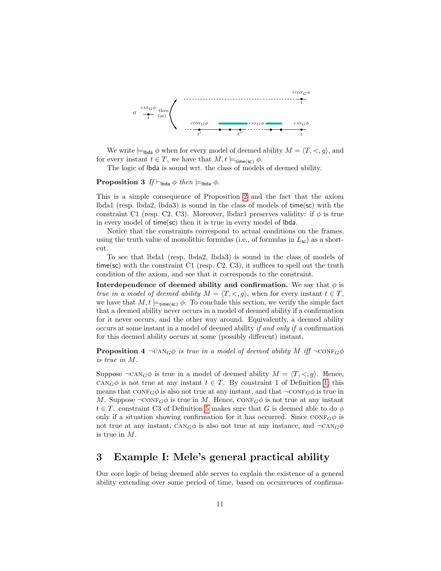

We write  $\models$ <sub>bda</sub>  $\phi$  when for every model of deemed ability  $M = \langle T, \langle , g \rangle$ , and for every instant  $t \in T$ , we have that  $M$ ,  $t \models_{time(\mathsf{sc})} \phi$ .

The logic of lbda is sound wrt. the class of models of deemed ability.

## **Proposition 3** If  $\vdash_{\mathsf{Ibda}} \phi$  then  $\models_{\mathsf{Ibda}} \phi$ .

This is a simple consequence of Proposition [2](#page-8-1) and the fact that the axiom lbda1 (resp. lbda2, lbda3) is sound in the class of models of time(sc) with the constraint C1 (resp. C2, C3). Moreover, lbdar1 preserves validity: if  $\phi$  is true in every model of time(sc) then it is true in every model of lbda.

Notice that the constraints correspond to actual conditions on the frames, using the truth value of monolithic formulas (i.e., of formulas in  $L_{\rm sc}$ ) as a shortcut.

To see that lbda1 (resp. lbda2, lbda3) is sound in the class of models of time(sc) with the constraint C1 (resp. C2, C3), it suffices to spell out the truth condition of the axiom, and see that it corresponds to the constraint.

Interdependence of deemed ability and confirmation. We say that  $\phi$  is true in a model of deemed ability  $M = \langle T, \langle , g \rangle$ , when for every instant  $t \in T$ , we have that  $M, t \models_{time(\mathsf{sc})} \phi$ . To conclude this section, we verify the simple fact that a deemed ability never occurs in a model of deemed ability if a confirmation for it never occurs, and the other way around. Equivalently, a deemed ability occurs at some instant in a model of deemed ability if and only if a confirmation for this deemed ability occurs at some (possibly different) instant.

<span id="page-10-1"></span>**Proposition 4**  $\neg \text{CAN}_G \phi$  is true in a model of deemed ability M iff  $\neg \text{CONF}_G \phi$ is true in M.

Suppose  $\neg \text{CAN}_G \phi$  is true in a model of deemed ability  $M = \langle T, \langle , g \rangle$ . Hence,  $CAN_G\phi$  is not true at any instant  $t \in T$ . By constraint 1 of Definition [1,](#page-4-0) this means that  $\text{CONF}_G \phi$  is also not true at any instant, and that  $\neg \text{CONF}_G \phi$  is true in M. Suppose  $\neg \text{CONF}_G \phi$  is true in M. Hence,  $\text{CONF}_G \phi$  is not true at any instant  $t \in T$ . constraint C3 of Definition [5](#page-9-0) makes sure that G is deemed able to do  $\phi$ only if a situation showing confirmation for it has occurred. Since  $\text{CONF}_G \phi$  is not true at any instant,  $CAN_G\phi$  is also not true at any instance, and  $\neg CAN_G\phi$ is true in M.

# <span id="page-10-0"></span>3 Example I: Mele's general practical ability

Our core logic of being deemed able serves to explain the existence of a general ability extending over some period of time, based on occurrences of confirma-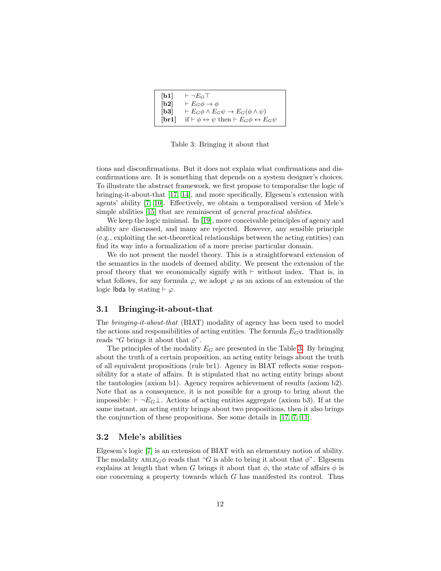<span id="page-11-0"></span>

| [b1]  | $\vdash \neg E_G \top$                                                                |
|-------|---------------------------------------------------------------------------------------|
| [b2]  | $\vdash E_G \phi \rightarrow \phi$                                                    |
| [b3]  | $\vdash E_G \phi \land E_G \psi \rightarrow E_G(\phi \land \psi)$                     |
| [br1] | if $\vdash \phi \leftrightarrow \psi$ then $\vdash E_G \phi \leftrightarrow E_G \psi$ |

Table 3: Bringing it about that

tions and disconfirmations. But it does not explain what confirmations and disconfirmations are. It is something that depends on a system designer's choices. To illustrate the abstract framework, we first propose to temporalise the logic of bringing-it-about-that [\[17,](#page-19-3) [14\]](#page-19-4), and more specifically, Elgesem's extension with agents' ability [\[7,](#page-18-6) [10\]](#page-18-7). Effectively, we obtain a temporalised version of Mele's simple abilities [\[15\]](#page-19-5) that are reminiscent of *general practical abilities*.

We keep the logic minimal. In [\[19\]](#page-19-6), more conceivable principles of agency and ability are discussed, and many are rejected. However, any sensible principle (e.g., exploiting the set-theoretical relationships between the acting entities) can find its way into a formalization of a more precise particular domain.

We do not present the model theory. This is a straightforward extension of the semantics in the models of deemed ability. We present the extension of the proof theory that we economically signify with  $\vdash$  without index. That is, in what follows, for any formula  $\varphi$ , we adopt  $\varphi$  as an axiom of an extension of the logic lbda by stating  $\vdash \varphi$ .

## 3.1 Bringing-it-about-that

The bringing-it-about-that (BIAT) modality of agency has been used to model the actions and responsibilities of acting entities. The formula  $E_G\phi$  traditionally reads "G brings it about that  $\phi$ ".

The principles of the modality  $E_G$  are presented in the Table [3.](#page-11-0) By bringing about the truth of a certain proposition, an acting entity brings about the truth of all equivalent propositions (rule br1). Agency in BIAT reflects some responsibility for a state of affairs. It is stipulated that no acting entity brings about the tautologies (axiom b1). Agency requires achievement of results (axiom b2). Note that as a consequence, it is not possible for a group to bring about the impossible:  $\vdash \neg E_G \bot$ . Actions of acting entities aggregate (axiom b3). If at the same instant, an acting entity brings about two propositions, then it also brings the conjunction of these propositions. See some details in [\[17,](#page-19-3) [7,](#page-18-6) [11\]](#page-19-7).

## 3.2 Mele's abilities

Elgesem's logic [\[7\]](#page-18-6) is an extension of BIAT with an elementary notion of ability. The modality  $ABLE_G\phi$  reads that "G is able to bring it about that  $\phi$ ". Elgesem explains at length that when G brings it about that  $\phi$ , the state of affairs  $\phi$  is one concerning a property towards which G has manifested its control. Thus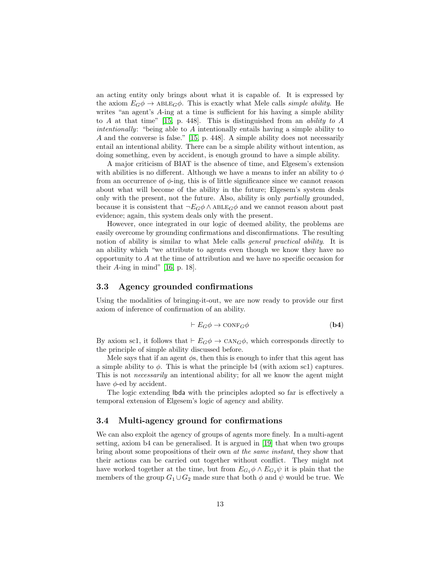an acting entity only brings about what it is capable of. It is expressed by the axiom  $E_G \phi \to \text{ABLE}_G \phi$ . This is exactly what Mele calls *simple ability*. He writes "an agent's A-ing at a time is sufficient for his having a simple ability to A at that time"  $[15, p. 448]$  $[15, p. 448]$ . This is distinguished from an *ability to A* intentionally: "being able to A intentionally entails having a simple ability to A and the converse is false." [\[15,](#page-19-5) p. 448]. A simple ability does not necessarily entail an intentional ability. There can be a simple ability without intention, as doing something, even by accident, is enough ground to have a simple ability.

A major criticism of BIAT is the absence of time, and Elgesem's extension with abilities is no different. Although we have a means to infer an ability to  $\phi$ from an occurrence of  $\phi$ -ing, this is of little significance since we cannot reason about what will become of the ability in the future; Elgesem's system deals only with the present, not the future. Also, ability is only partially grounded, because it is consistent that  $\neg E_G \phi \land \text{ABLE}_G \phi$  and we cannot reason about past evidence; again, this system deals only with the present.

However, once integrated in our logic of deemed ability, the problems are easily overcome by grounding confirmations and disconfirmations. The resulting notion of ability is similar to what Mele calls *general practical ability*. It is an ability which "we attribute to agents even though we know they have no opportunity to A at the time of attribution and we have no specific occasion for their  $A$ -ing in mind" [\[16,](#page-19-8) p. 18].

#### 3.3 Agency grounded confirmations

Using the modalities of bringing-it-out, we are now ready to provide our first axiom of inference of confirmation of an ability.

$$
\vdash E_G \phi \to \mathrm{CONF}_G \phi \tag{b4}
$$

By axiom sc1, it follows that  $\vdash E_G \phi \to \text{CAN}_G \phi$ , which corresponds directly to the principle of simple ability discussed before.

Mele says that if an agent  $\phi$ s, then this is enough to infer that this agent has a simple ability to  $\phi$ . This is what the principle b4 (with axiom sc1) captures. This is not necessarily an intentional ability; for all we know the agent might have  $\phi$ -ed by accident.

The logic extending lbda with the principles adopted so far is effectively a temporal extension of Elgesem's logic of agency and ability.

## 3.4 Multi-agency ground for confirmations

We can also exploit the agency of groups of agents more finely. In a multi-agent setting, axiom b4 can be generalised. It is argued in [\[19\]](#page-19-6) that when two groups bring about some propositions of their own at the same instant, they show that their actions can be carried out together without conflict. They might not have worked together at the time, but from  $E_{G_1} \phi \wedge E_{G_2} \psi$  it is plain that the members of the group  $G_1 \cup G_2$  made sure that both  $\phi$  and  $\psi$  would be true. We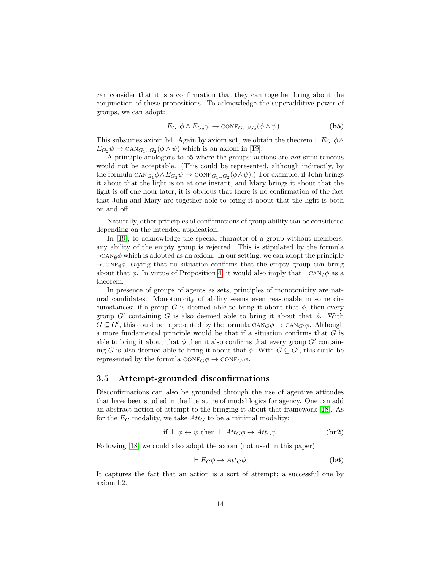can consider that it is a confirmation that they can together bring about the conjunction of these propositions. To acknowledge the superadditive power of groups, we can adopt:

$$
\vdash E_{G_1}\phi \land E_{G_2}\psi \to \text{CONF}_{G_1\cup G_2}(\phi \land \psi)
$$
\n
$$
\tag{b5}
$$

This subsumes axiom b4. Again by axiom sc1, we obtain the theorem  $\vdash E_{G_1} \phi \land$  $E_{G_2}\psi \to \text{CAN}_{G_1\cup G_2}(\phi \wedge \psi)$  which is an axiom in [\[19\]](#page-19-6).

A principle analogous to b5 where the groups' actions are not simultaneous would not be acceptable. (This could be represented, although indirectly, by the formula  $\text{CAN}_{G_1} \phi \wedge E_{G_2} \psi \to \text{CONF}_{G_1 \cup G_2} (\phi \wedge \psi)$ .) For example, if John brings it about that the light is on at one instant, and Mary brings it about that the light is off one hour later, it is obvious that there is no confirmation of the fact that John and Mary are together able to bring it about that the light is both on and off.

Naturally, other principles of confirmations of group ability can be considered depending on the intended application.

In [\[19\]](#page-19-6), to acknowledge the special character of a group without members, any ability of the empty group is rejected. This is stipulated by the formula  $\neg \text{CAN}_\emptyset \phi$  which is adopted as an axiom. In our setting, we can adopt the principle  $\neg\text{CONF}_{\emptyset}\phi$ , saying that no situation confirms that the empty group can bring about that  $\phi$ . In virtue of Proposition [4,](#page-10-1) it would also imply that  $\neg \text{CAN}_\emptyset \phi$  as a theorem.

In presence of groups of agents as sets, principles of monotonicity are natural candidates. Monotonicity of ability seems even reasonable in some circumstances: if a group G is deemed able to bring it about that  $\phi$ , then every group  $G'$  containing G is also deemed able to bring it about that  $\phi$ . With  $G \subseteq G'$ , this could be represented by the formula  $\text{CAN}_G\phi \to \text{CAN}_{G'}\phi$ . Although a more fundamental principle would be that if a situation confirms that  $G$  is able to bring it about that  $\phi$  then it also confirms that every group  $G'$  containing G is also deemed able to bring it about that  $\phi$ . With  $G \subseteq G'$ , this could be represented by the formula  $\text{CONF}_G \phi \to \text{CONF}_{G'} \phi$ .

## 3.5 Attempt-grounded disconfirmations

Disconfirmations can also be grounded through the use of agentive attitudes that have been studied in the literature of modal logics for agency. One can add an abstract notion of attempt to the bringing-it-about-that framework [\[18\]](#page-19-9). As for the  $E_G$  modality, we take  $Att_G$  to be a minimal modality:

if 
$$
\vdash \phi \leftrightarrow \psi
$$
 then  $\vdash Att_G\phi \leftrightarrow Att_G\psi$  (br2)

Following [\[18\]](#page-19-9) we could also adopt the axiom (not used in this paper):

$$
\vdash E_G \phi \to Att_G \phi \tag{b6}
$$

It captures the fact that an action is a sort of attempt; a successful one by axiom b2.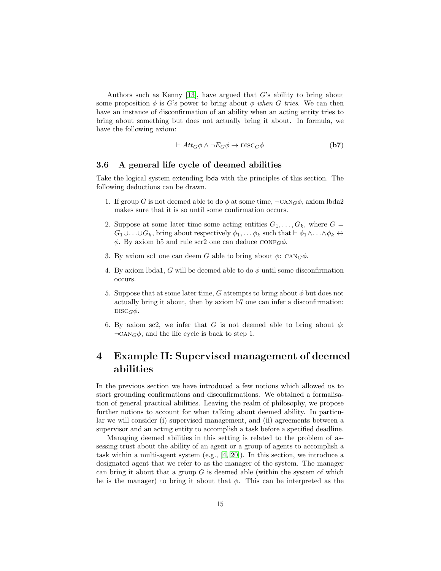Authors such as Kenny [\[13\]](#page-19-10), have argued that G's ability to bring about some proposition  $\phi$  is G's power to bring about  $\phi$  when G tries. We can then have an instance of disconfirmation of an ability when an acting entity tries to bring about something but does not actually bring it about. In formula, we have the following axiom:

$$
\vdash Att_G\phi \land \neg E_G\phi \to \text{DISC}_G\phi \tag{b7}
$$

## 3.6 A general life cycle of deemed abilities

Take the logical system extending lbda with the principles of this section. The following deductions can be drawn.

- 1. If group G is not deemed able to do  $\phi$  at some time,  $\neg$ CAN $_G\phi$ , axiom lbda2 makes sure that it is so until some confirmation occurs.
- 2. Suppose at some later time some acting entities  $G_1, \ldots, G_k$ , where  $G =$  $G_1 \cup \ldots \cup G_k$ , bring about respectively  $\phi_1, \ldots \phi_k$  such that  $\vdash \phi_1 \wedge \ldots \wedge \phi_k \leftrightarrow$  $\phi$ . By axiom b5 and rule scr2 one can deduce CONF $_G\phi$ .
- 3. By axiom sc1 one can deem G able to bring about  $\phi$ : CAN $_G\phi$ .
- 4. By axiom lbda1, G will be deemed able to do  $\phi$  until some disconfirmation occurs.
- 5. Suppose that at some later time, G attempts to bring about  $\phi$  but does not actually bring it about, then by axiom b7 one can infer a disconfirmation:  $DISC_G\phi$ .
- 6. By axiom sc2, we infer that G is not deemed able to bring about  $\phi$ :  $\neg \text{CAN}_G \phi$ , and the life cycle is back to step 1.

# <span id="page-14-0"></span>4 Example II: Supervised management of deemed abilities

In the previous section we have introduced a few notions which allowed us to start grounding confirmations and disconfirmations. We obtained a formalisation of general practical abilities. Leaving the realm of philosophy, we propose further notions to account for when talking about deemed ability. In particular we will consider (i) supervised management, and (ii) agreements between a supervisor and an acting entity to accomplish a task before a specified deadline.

Managing deemed abilities in this setting is related to the problem of assessing trust about the ability of an agent or a group of agents to accomplish a task within a multi-agent system (e.g., [\[4,](#page-18-8) [20\]](#page-19-0)). In this section, we introduce a designated agent that we refer to as the manager of the system. The manager can bring it about that a group  $G$  is deemed able (within the system of which he is the manager) to bring it about that  $\phi$ . This can be interpreted as the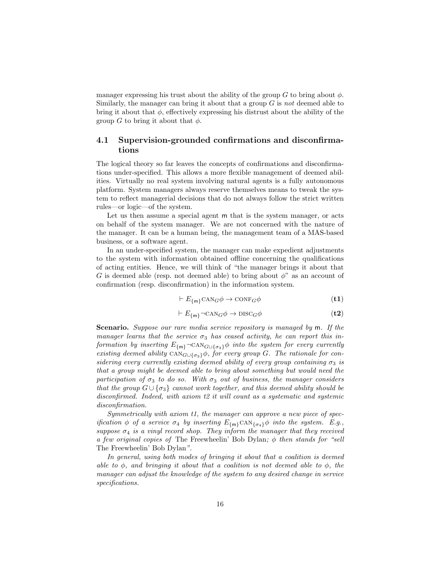manager expressing his trust about the ability of the group G to bring about  $\phi$ . Similarly, the manager can bring it about that a group  $G$  is not deemed able to bring it about that  $\phi$ , effectively expressing his distrust about the ability of the group G to bring it about that  $\phi$ .

# 4.1 Supervision-grounded confirmations and disconfirmations

The logical theory so far leaves the concepts of confirmations and disconfirmations under-specified. This allows a more flexible management of deemed abilities. Virtually no real system involving natural agents is a fully autonomous platform. System managers always reserve themselves means to tweak the system to reflect managerial decisions that do not always follow the strict written rules—or logic—of the system.

Let us then assume a special agent m that is the system manager, or acts on behalf of the system manager. We are not concerned with the nature of the manager. It can be a human being, the management team of a MAS-based business, or a software agent.

In an under-specified system, the manager can make expedient adjustments to the system with information obtained offline concerning the qualifications of acting entities. Hence, we will think of "the manager brings it about that G is deemed able (resp. not deemed able) to bring about  $\phi$ " as an account of confirmation (resp. disconfirmation) in the information system.

$$
\vdash E_{\{\mathfrak{m}\}}\mathrm{CAN}_G\phi \to \mathrm{CONF}_G\phi\tag{t1}
$$

$$
\vdash E_{\{\mathfrak{m}\}} \neg \text{CAN}_G \phi \to \text{DISC}_G \phi \tag{t2}
$$

Scenario. Suppose our rare media service repository is managed by m. If the manager learns that the service  $\sigma_3$  has ceased activity, he can report this information by inserting  $E_{\{m\}}$ ¬CAN<sub>G∪{σ3</sub>} $\phi$  into the system for every currently existing deemed ability  $\text{CAN}_{G\cup{\{\sigma_3\}}}$  $\phi$ , for every group G. The rationale for considering every currently existing deemed ability of every group containing  $\sigma_3$  is that a group might be deemed able to bring about something but would need the participation of  $\sigma_3$  to do so. With  $\sigma_3$  out of business, the manager considers that the group  $G \cup \{\sigma_3\}$  cannot work together, and this deemed ability should be disconfirmed. Indeed, with axiom t2 it will count as a systematic and systemic disconfirmation.

Symmetrically with axiom t1, the manager can approve a new piece of specification  $\phi$  of a service  $\sigma_4$  by inserting  $E_{\{\mathsf{m}\}}$ CAN $_{\{\sigma_4\}}\phi$  into the system. E.g., suppose  $\sigma_4$  is a vinyl record shop. They inform the manager that they received a few original copies of The Freewheelin' Bob Dylan;  $\phi$  then stands for "sell The Freewheelin' Bob Dylan".

In general, using both modes of bringing it about that a coalition is deemed able to  $\phi$ , and bringing it about that a coalition is not deemed able to  $\phi$ , the manager can adjust the knowledge of the system to any desired change in service specifications.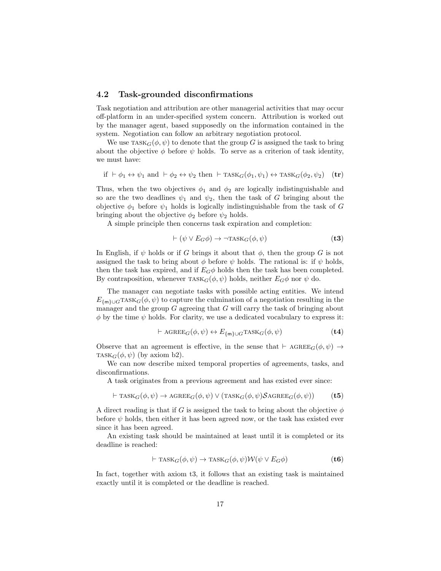## 4.2 Task-grounded disconfirmations

Task negotiation and attribution are other managerial activities that may occur off-platform in an under-specified system concern. Attribution is worked out by the manager agent, based supposedly on the information contained in the system. Negotiation can follow an arbitrary negotiation protocol.

We use  $\text{Task}_G(\phi, \psi)$  to denote that the group G is assigned the task to bring about the objective  $\phi$  before  $\psi$  holds. To serve as a criterion of task identity, we must have:

if  $\models \phi_1 \leftrightarrow \psi_1$  and  $\models \phi_2 \leftrightarrow \psi_2$  then  $\models$  TASK $_G(\phi_1, \psi_1) \leftrightarrow$  TASK $_G(\phi_2, \psi_2)$  (tr)

Thus, when the two objectives  $\phi_1$  and  $\phi_2$  are logically indistinguishable and so are the two deadlines  $\psi_1$  and  $\psi_2$ , then the task of G bringing about the objective  $\phi_1$  before  $\psi_1$  holds is logically indistinguishable from the task of G bringing about the objective  $\phi_2$  before  $\psi_2$  holds.

A simple principle then concerns task expiration and completion:

$$
\vdash (\psi \lor E_G \phi) \to \neg \text{TASK}_G(\phi, \psi) \tag{t3}
$$

In English, if  $\psi$  holds or if G brings it about that  $\phi$ , then the group G is not assigned the task to bring about  $\phi$  before  $\psi$  holds. The rational is: if  $\psi$  holds, then the task has expired, and if  $E_G\phi$  holds then the task has been completed. By contraposition, whenever  $\text{Task}_G(\phi, \psi)$  holds, neither  $E_G\phi$  nor  $\psi$  do.

The manager can negotiate tasks with possible acting entities. We intend  $E_{\{\mathbf{m}\}\cup G}$ TASK $_G(\phi, \psi)$  to capture the culmination of a negotiation resulting in the manager and the group  $G$  agreeing that  $G$  will carry the task of bringing about  $\phi$  by the time  $\psi$  holds. For clarity, we use a dedicated vocabulary to express it:

$$
\vdash \text{AGREE}_G(\phi, \psi) \leftrightarrow E_{\{\mathsf{m}\} \cup G} \text{TASK}_G(\phi, \psi) \tag{14}
$$

Observe that an agreement is effective, in the sense that  $\vdash$  AGREE<sub>G</sub>( $(\phi, \psi) \rightarrow$ TASK $_G(\phi, \psi)$  (by axiom b2).

We can now describe mixed temporal properties of agreements, tasks, and disconfirmations.

A task originates from a previous agreement and has existed ever since:

$$
\vdash \text{TASK}_G(\phi, \psi) \to \text{AGREE}_G(\phi, \psi) \lor (\text{TASK}_G(\phi, \psi) \mathcal{S} \text{AGREE}_G(\phi, \psi)) \tag{t5}
$$

A direct reading is that if G is assigned the task to bring about the objective  $\phi$ before  $\psi$  holds, then either it has been agreed now, or the task has existed ever since it has been agreed.

An existing task should be maintained at least until it is completed or its deadline is reached:

$$
\vdash \text{Task}_G(\phi, \psi) \to \text{Task}_G(\phi, \psi) \mathcal{W}(\psi \lor E_G \phi) \tag{6}
$$

In fact, together with axiom t3, it follows that an existing task is maintained exactly until it is completed or the deadline is reached.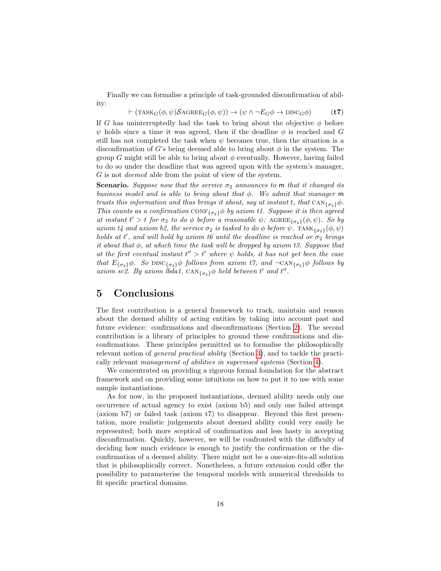Finally we can formalise a principle of task-grounded disconfirmation of ability:

 $\vdash$  (TASK<sub>G</sub>( $\phi, \psi$ )SAGREE<sub>G</sub>( $\phi, \psi$ ))  $\rightarrow$  ( $\psi \land \neg E_G \phi \rightarrow \text{DISC}_G \phi$ ) (t7)

If G has uninterruptedly had the task to bring about the objective  $\phi$  before  $\psi$  holds since a time it was agreed, then if the deadline  $\phi$  is reached and G still has not completed the task when  $\psi$  becomes true, then the situation is a disconfirmation of G's being deemed able to bring about  $\phi$  in the system. The group G might still be able to bring about  $\phi$  eventually. However, having failed to do so under the deadline that was agreed upon with the system's manager, G is not deemed able from the point of view of the system.

**Scenario.** Suppose now that the service  $\sigma_2$  announces to m that it changed its business model and is able to bring about that  $\phi$ . We admit that manager m trusts this information and thus brings it about, say at instant t, that  $\text{CAN}_{\{\sigma_2\}}\phi$ . This counts as a confirmation  $\text{CONF}_{\{\sigma_2\}}\phi$  by axiom t1. Suppose it is then agreed at instant  $t' > t$  for  $\sigma_2$  to do  $\phi$  before a reasonable  $\psi$ : AGREE<sub>{ $\sigma_2$ }</sub>( $\phi$ , $\psi$ ). So by axiom t4 and axiom b2, the service  $\sigma_2$  is tasked to do  $\phi$  before  $\psi$ . TASK $_{\{\sigma_2\}}(\phi, \psi)$ holds at t', and will hold by axiom t6 until the deadline is reached or  $\sigma_2$  brings it about that  $\phi$ , at which time the task will be dropped by axiom t3. Suppose that at the first eventual instant  $t'' > t'$  where  $\psi$  holds, it has not yet been the case that  $E_{\{\sigma_2\}}\phi$ . So DISC $_{\{\sigma_2\}}\phi$  follows from axiom t7, and  $\neg \text{CAN}_{\{\sigma_2\}}\phi$  follows by axiom sc2. By axiom lbda1,  $\text{CAN}_{\{\sigma_2\}}\phi$  held between t' and t".

# 5 Conclusions

The first contribution is a general framework to track, maintain and reason about the deemed ability of acting entities by taking into account past and future evidence: confirmations and disconfirmations (Section [2\)](#page-3-0). The second contribution is a library of principles to ground these confirmations and disconfirmations. These principles permitted us to formalise the philosophically relevant notion of general practical ability (Section [3\)](#page-10-0), and to tackle the practically relevant management of abilities in supervised systems (Section [4\)](#page-14-0).

We concentrated on providing a rigorous formal foundation for the abstract framework and on providing some intuitions on how to put it to use with some sample instantiations.

As for now, in the proposed instantiations, deemed ability needs only one occurrence of actual agency to exist (axiom b5) and only one failed attempt (axiom b7) or failed task (axiom t7) to disappear. Beyond this first presentation, more realistic judgements about deemed ability could very easily be represented; both more sceptical of confirmation and less hasty in accepting disconfirmation. Quickly, however, we will be confronted with the difficulty of deciding how much evidence is enough to justify the confirmation or the disconfirmation of a deemed ability. There might not be a one-size-fits-all solution that is philosophically correct. Nonetheless, a future extension could offer the possibility to parameterise the temporal models with numerical thresholds to fit specific practical domains.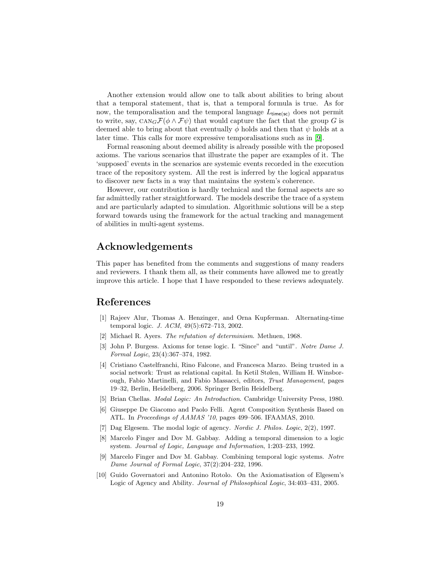Another extension would allow one to talk about abilities to bring about that a temporal statement, that is, that a temporal formula is true. As for now, the temporalisation and the temporal language  $L_{time(sc)}$  does not permit to write, say,  $CAN_G\mathcal{F}(\phi \wedge \mathcal{F}\psi)$  that would capture the fact that the group G is deemed able to bring about that eventually  $\phi$  holds and then that  $\psi$  holds at a later time. This calls for more expressive temporalisations such as in [\[9\]](#page-18-9).

Formal reasoning about deemed ability is already possible with the proposed axioms. The various scenarios that illustrate the paper are examples of it. The 'supposed' events in the scenarios are systemic events recorded in the execution trace of the repository system. All the rest is inferred by the logical apparatus to discover new facts in a way that maintains the system's coherence.

However, our contribution is hardly technical and the formal aspects are so far admittedly rather straightforward. The models describe the trace of a system and are particularly adapted to simulation. Algorithmic solutions will be a step forward towards using the framework for the actual tracking and management of abilities in multi-agent systems.

# Acknowledgements

This paper has benefited from the comments and suggestions of many readers and reviewers. I thank them all, as their comments have allowed me to greatly improve this article. I hope that I have responded to these reviews adequately.

# References

- <span id="page-18-0"></span>[1] Rajeev Alur, Thomas A. Henzinger, and Orna Kupferman. Alternating-time temporal logic. J. ACM, 49(5):672–713, 2002.
- <span id="page-18-2"></span>[2] Michael R. Ayers. The refutation of determinism. Methuen, 1968.
- <span id="page-18-4"></span>[3] John P. Burgess. Axioms for tense logic. I. "Since" and "until". Notre Dame J. Formal Logic, 23(4):367–374, 1982.
- <span id="page-18-8"></span>[4] Cristiano Castelfranchi, Rino Falcone, and Francesca Marzo. Being trusted in a social network: Trust as relational capital. In Ketil Stølen, William H. Winsborough, Fabio Martinelli, and Fabio Massacci, editors, Trust Management, pages 19–32, Berlin, Heidelberg, 2006. Springer Berlin Heidelberg.
- <span id="page-18-3"></span>[5] Brian Chellas. Modal Logic: An Introduction. Cambridge University Press, 1980.
- <span id="page-18-1"></span>[6] Giuseppe De Giacomo and Paolo Felli. Agent Composition Synthesis Based on ATL. In Proceedings of AAMAS '10, pages 499–506. IFAAMAS, 2010.
- <span id="page-18-6"></span>[7] Dag Elgesem. The modal logic of agency. Nordic J. Philos. Logic, 2(2), 1997.
- <span id="page-18-5"></span>[8] Marcelo Finger and Dov M. Gabbay. Adding a temporal dimension to a logic system. Journal of Logic, Language and Information, 1:203–233, 1992.
- <span id="page-18-9"></span>[9] Marcelo Finger and Dov M. Gabbay. Combining temporal logic systems. Notre Dame Journal of Formal Logic, 37(2):204–232, 1996.
- <span id="page-18-7"></span>[10] Guido Governatori and Antonino Rotolo. On the Axiomatisation of Elgesem's Logic of Agency and Ability. Journal of Philosophical Logic, 34:403–431, 2005.